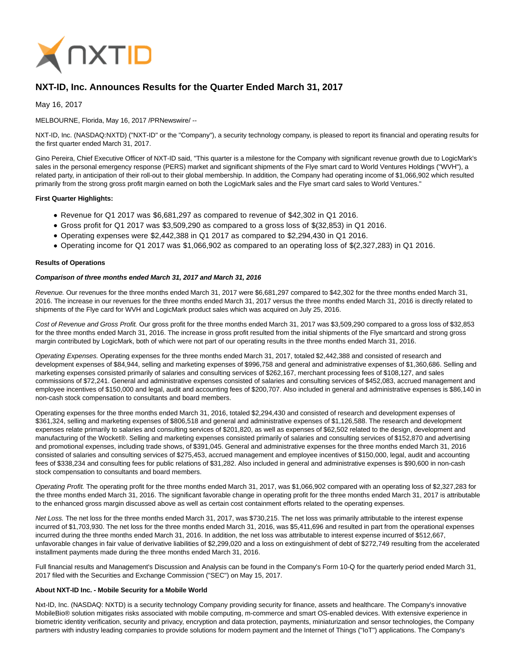

# **NXT-ID, Inc. Announces Results for the Quarter Ended March 31, 2017**

May 16, 2017

MELBOURNE, Florida, May 16, 2017 /PRNewswire/ --

NXT-ID, Inc. (NASDAQ:NXTD) ("NXT-ID" or the "Company"), a security technology company, is pleased to report its financial and operating results for the first quarter ended March 31, 2017.

Gino Pereira, Chief Executive Officer of NXT-ID said, "This quarter is a milestone for the Company with significant revenue growth due to LogicMark's sales in the personal emergency response (PERS) market and significant shipments of the Flye smart card to World Ventures Holdings ("WVH"), a related party, in anticipation of their roll-out to their global membership. In addition, the Company had operating income of \$1,066,902 which resulted primarily from the strong gross profit margin earned on both the LogicMark sales and the Flye smart card sales to World Ventures."

#### **First Quarter Highlights:**

- Revenue for Q1 2017 was \$6,681,297 as compared to revenue of \$42,302 in Q1 2016.
- Gross profit for Q1 2017 was \$3,509,290 as compared to a gross loss of \$(32,853) in Q1 2016.
- Operating expenses were \$2,442,388 in Q1 2017 as compared to \$2,294,430 in Q1 2016.
- Operating income for Q1 2017 was \$1,066,902 as compared to an operating loss of \$(2,327,283) in Q1 2016.

#### **Results of Operations**

### **Comparison of three months ended March 31, 2017 and March 31, 2016**

Revenue. Our revenues for the three months ended March 31, 2017 were \$6,681,297 compared to \$42,302 for the three months ended March 31, 2016. The increase in our revenues for the three months ended March 31, 2017 versus the three months ended March 31, 2016 is directly related to shipments of the Flye card for WVH and LogicMark product sales which was acquired on July 25, 2016.

Cost of Revenue and Gross Profit. Our gross profit for the three months ended March 31, 2017 was \$3,509,290 compared to a gross loss of \$32,853 for the three months ended March 31, 2016. The increase in gross profit resulted from the initial shipments of the Flye smartcard and strong gross margin contributed by LogicMark, both of which were not part of our operating results in the three months ended March 31, 2016.

Operating Expenses. Operating expenses for the three months ended March 31, 2017, totaled \$2,442,388 and consisted of research and development expenses of \$84,944, selling and marketing expenses of \$996,758 and general and administrative expenses of \$1,360,686. Selling and marketing expenses consisted primarily of salaries and consulting services of \$262,167, merchant processing fees of \$108,127, and sales commissions of \$72,241. General and administrative expenses consisted of salaries and consulting services of \$452,083, accrued management and employee incentives of \$150,000 and legal, audit and accounting fees of \$200,707. Also included in general and administrative expenses is \$86,140 in non-cash stock compensation to consultants and board members.

Operating expenses for the three months ended March 31, 2016, totaled \$2,294,430 and consisted of research and development expenses of \$361,324, selling and marketing expenses of \$806,518 and general and administrative expenses of \$1,126,588. The research and development expenses relate primarily to salaries and consulting services of \$201,820, as well as expenses of \$62,502 related to the design, development and manufacturing of the Wocket®. Selling and marketing expenses consisted primarily of salaries and consulting services of \$152,870 and advertising and promotional expenses, including trade shows, of \$391,045. General and administrative expenses for the three months ended March 31, 2016 consisted of salaries and consulting services of \$275,453, accrued management and employee incentives of \$150,000, legal, audit and accounting fees of \$338,234 and consulting fees for public relations of \$31,282. Also included in general and administrative expenses is \$90,600 in non-cash stock compensation to consultants and board members.

Operating Profit. The operating profit for the three months ended March 31, 2017, was \$1,066,902 compared with an operating loss of \$2,327,283 for the three months ended March 31, 2016. The significant favorable change in operating profit for the three months ended March 31, 2017 is attributable to the enhanced gross margin discussed above as well as certain cost containment efforts related to the operating expenses.

Net Loss. The net loss for the three months ended March 31, 2017, was \$730,215. The net loss was primarily attributable to the interest expense incurred of \$1,703,930. The net loss for the three months ended March 31, 2016, was \$5,411,696 and resulted in part from the operational expenses incurred during the three months ended March 31, 2016. In addition, the net loss was attributable to interest expense incurred of \$512,667, unfavorable changes in fair value of derivative liabilities of \$2,299,020 and a loss on extinguishment of debt of \$272,749 resulting from the accelerated installment payments made during the three months ended March 31, 2016.

Full financial results and Management's Discussion and Analysis can be found in the Company's Form 10-Q for the quarterly period ended March 31, 2017 filed with the Securities and Exchange Commission ("SEC") on May 15, 2017.

#### **About NXT-ID Inc. - Mobile Security for a Mobile World**

Nxt-ID, Inc. (NASDAQ: NXTD) is a security technology Company providing security for finance, assets and healthcare. The Company's innovative MobileBio® solution mitigates risks associated with mobile computing, m-commerce and smart OS-enabled devices. With extensive experience in biometric identity verification, security and privacy, encryption and data protection, payments, miniaturization and sensor technologies, the Company partners with industry leading companies to provide solutions for modern payment and the Internet of Things ("IoT") applications. The Company's